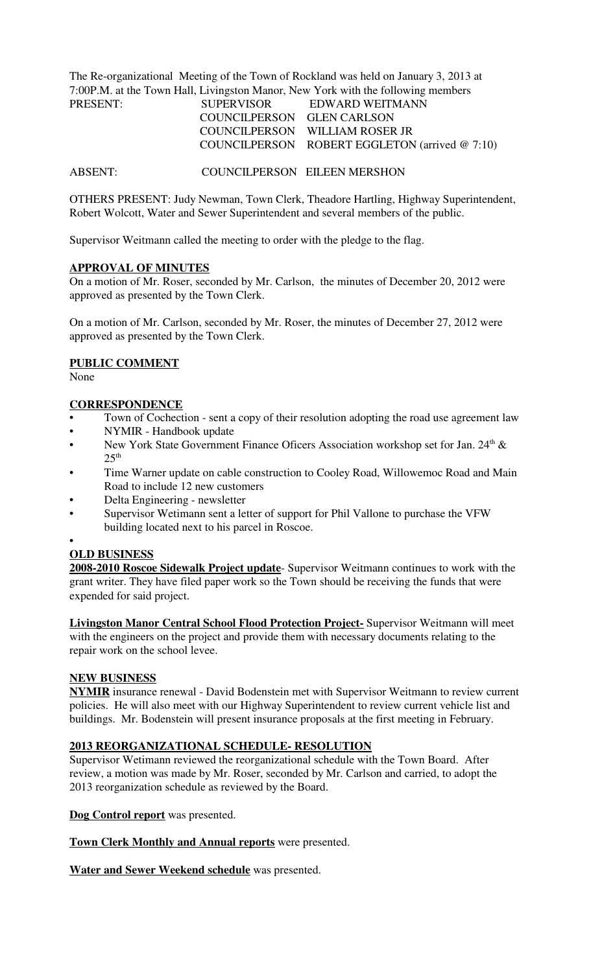The Re-organizational Meeting of the Town of Rockland was held on January 3, 2013 at 7:00P.M. at the Town Hall, Livingston Manor, New York with the following members PRESENT:

| PRESENT: | <b>SUPERVISOR</b>          | EDWARD WEITMANN                                   |
|----------|----------------------------|---------------------------------------------------|
|          | COUNCILPERSON GLEN CARLSON |                                                   |
|          |                            | COUNCILPERSON WILLIAM ROSER JR                    |
|          |                            | COUNCILPERSON ROBERT EGGLETON (arrived $@ 7:10$ ) |

ABSENT: COUNCILPERSON EILEEN MERSHON

OTHERS PRESENT: Judy Newman, Town Clerk, Theadore Hartling, Highway Superintendent, Robert Wolcott, Water and Sewer Superintendent and several members of the public.

Supervisor Weitmann called the meeting to order with the pledge to the flag.

### **APPROVAL OF MINUTES**

On a motion of Mr. Roser, seconded by Mr. Carlson, the minutes of December 20, 2012 were approved as presented by the Town Clerk.

On a motion of Mr. Carlson, seconded by Mr. Roser, the minutes of December 27, 2012 were approved as presented by the Town Clerk.

## **PUBLIC COMMENT**

None

## **CORRESPONDENCE**

- Town of Cochection sent a copy of their resolution adopting the road use agreement law
- NYMIR Handbook update
- New York State Government Finance Oficers Association workshop set for Jan. 24<sup>th</sup> &  $25<sup>th</sup>$
- Time Warner update on cable construction to Cooley Road, Willowemoc Road and Main Road to include 12 new customers
- Delta Engineering newsletter
- Supervisor Wetimann sent a letter of support for Phil Vallone to purchase the VFW building located next to his parcel in Roscoe.
- •

# **OLD BUSINESS**

**2008-2010 Roscoe Sidewalk Project update**- Supervisor Weitmann continues to work with the grant writer. They have filed paper work so the Town should be receiving the funds that were expended for said project.

**Livingston Manor Central School Flood Protection Project-** Supervisor Weitmann will meet with the engineers on the project and provide them with necessary documents relating to the repair work on the school levee.

## **NEW BUSINESS**

**NYMIR** insurance renewal - David Bodenstein met with Supervisor Weitmann to review current policies. He will also meet with our Highway Superintendent to review current vehicle list and buildings. Mr. Bodenstein will present insurance proposals at the first meeting in February.

## **2013 REORGANIZATIONAL SCHEDULE- RESOLUTION**

Supervisor Wetimann reviewed the reorganizational schedule with the Town Board. After review, a motion was made by Mr. Roser, seconded by Mr. Carlson and carried, to adopt the 2013 reorganization schedule as reviewed by the Board.

**Dog Control report** was presented.

**Town Clerk Monthly and Annual reports** were presented.

**Water and Sewer Weekend schedule** was presented.